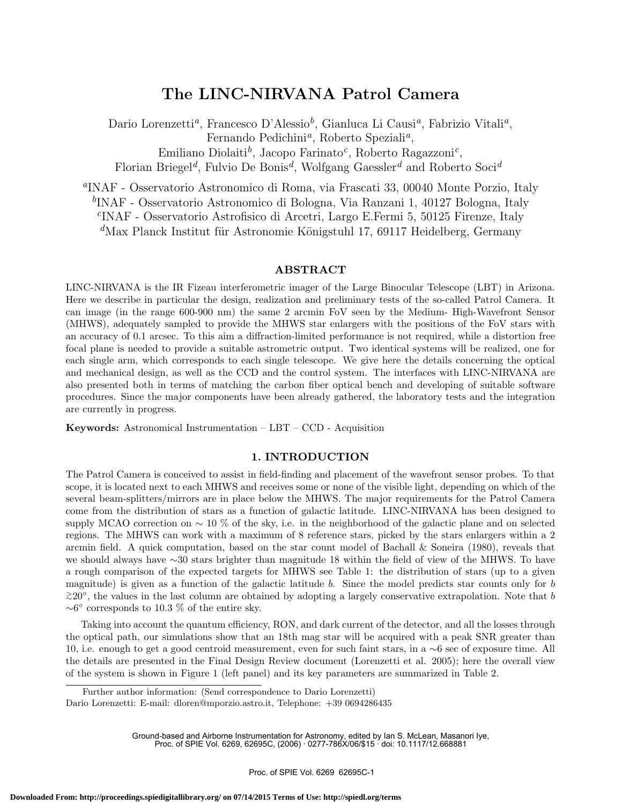# **The LINC-NIRVANA Patrol Camera**

Dario Lorenzetti*a*, Francesco D'Alessio*b*, Gianluca Li Causi*a*, Fabrizio Vitali*a*, Fernando Pedichini*a*, Roberto Speziali*a*,

Emiliano Diolaiti*b*, Jacopo Farinato*c*, Roberto Ragazzoni*c*,

Florian Briegel*d*, Fulvio De Bonis*d*, Wolfgang Gaessler*<sup>d</sup>* and Roberto Soci*<sup>d</sup>*

*<sup>a</sup>*INAF - Osservatorio Astronomico di Roma, via Frascati 33, 00040 Monte Porzio, Italy

*<sup>b</sup>*INAF - Osservatorio Astronomico di Bologna, Via Ranzani 1, 40127 Bologna, Italy

*<sup>c</sup>*INAF - Osservatorio Astrofisico di Arcetri, Largo E.Fermi 5, 50125 Firenze, Italy <sup>d</sup>Max Planck Institut für Astronomie Königstuhl 17, 69117 Heidelberg, Germany

### **ABSTRACT**

LINC-NIRVANA is the IR Fizeau interferometric imager of the Large Binocular Telescope (LBT) in Arizona. Here we describe in particular the design, realization and preliminary tests of the so-called Patrol Camera. It can image (in the range 600-900 nm) the same 2 arcmin FoV seen by the Medium- High-Wavefront Sensor (MHWS), adequately sampled to provide the MHWS star enlargers with the positions of the FoV stars with an accuracy of 0.1 arcsec. To this aim a diffraction-limited performance is not required, while a distortion free focal plane is needed to provide a suitable astrometric output. Two identical systems will be realized, one for each single arm, which corresponds to each single telescope. We give here the details concerning the optical and mechanical design, as well as the CCD and the control system. The interfaces with LINC-NIRVANA are also presented both in terms of matching the carbon fiber optical bench and developing of suitable software procedures. Since the major components have been already gathered, the laboratory tests and the integration are currently in progress.

**Keywords:** Astronomical Instrumentation – LBT – CCD - Acquisition

### **1. INTRODUCTION**

The Patrol Camera is conceived to assist in field-finding and placement of the wavefront sensor probes. To that scope, it is located next to each MHWS and receives some or none of the visible light, depending on which of the several beam-splitters/mirrors are in place below the MHWS. The major requirements for the Patrol Camera come from the distribution of stars as a function of galactic latitude. LINC-NIRVANA has been designed to supply MCAO correction on ∼ 10 % of the sky, i.e. in the neighborhood of the galactic plane and on selected regions. The MHWS can work with a maximum of 8 reference stars, picked by the stars enlargers within a 2 arcmin field. A quick computation, based on the star count model of Bachall  $\&$  Soneira (1980), reveals that we should always have ∼30 stars brighter than magnitude 18 within the field of view of the MHWS. To have a rough comparison of the expected targets for MHWS see Table 1: the distribution of stars (up to a given magnitude) is given as a function of the galactic latitude *b*. Since the model predicts star counts only for *b >* <sup>∼</sup>20◦, the values in the last column are obtained by adopting a largely conservative extrapolation. Note that *b*  $~\sim$ 6 $\degree$  corresponds to 10.3 % of the entire sky.

Taking into account the quantum efficiency, RON, and dark current of the detector, and all the losses through the optical path, our simulations show that an 18th mag star will be acquired with a peak SNR greater than 10, i.e. enough to get a good centroid measurement, even for such faint stars, in a ∼6 sec of exposure time. All the details are presented in the Final Design Review document (Lorenzetti et al. 2005); here the overall view of the system is shown in Figure 1 (left panel) and its key parameters are summarized in Table 2.

Ground-based and Airborne Instrumentation for Astronomy, edited by Ian S. McLean, Masanori Iye, Proc. of SPIE Vol. 6269, 62695C, (2006) · 0277-786X/06/\$15 · doi: 10.1117/12.668881

Further author information: (Send correspondence to Dario Lorenzetti)

Dario Lorenzetti: E-mail: dloren@mporzio.astro.it, Telephone: +39 0694286435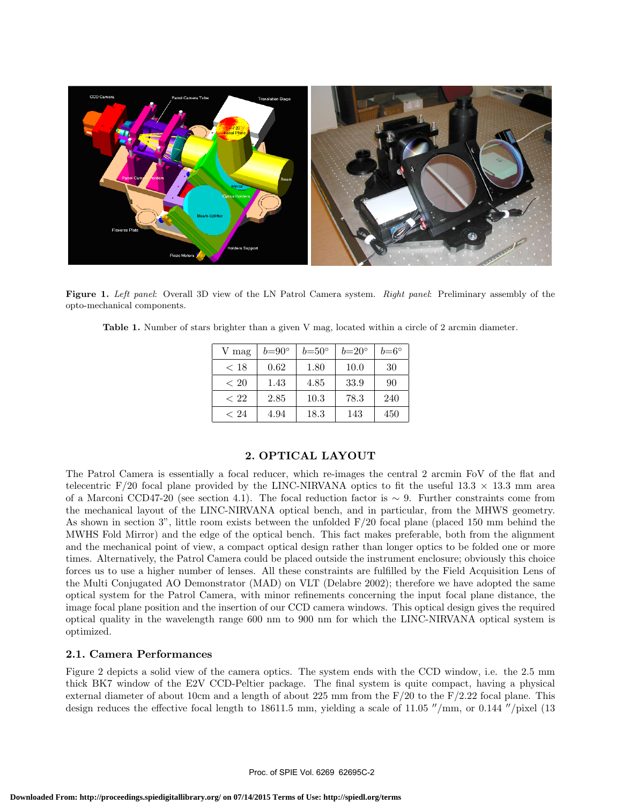

opto-mechanical components.

|  |  |  |  |  |  |  | <b>Table 1.</b> Number of stars brighter than a given V mag, located within a circle of 2 arcmin diameter. |
|--|--|--|--|--|--|--|------------------------------------------------------------------------------------------------------------|
|  |  |  |  |  |  |  |                                                                                                            |

| V mag | $b=90^\circ$ | $b=50^{\circ}$ | $b=20^{\circ}$ | $b = 6^{\circ}$ |
|-------|--------------|----------------|----------------|-----------------|
| < 18  | 0.62         | 1.80           | 10.0           | 30              |
| < 20  | 1.43         | 4.85           | 33.9           | 90              |
| < 22  | 2.85         | 10.3           | 78.3           | 240             |
| < 24  | 4.94         | 18.3           | 143            | 450             |

## **2. OPTICAL LAYOUT**

The Patrol Camera is essentially a focal reducer, which re-images the central 2 arcmin FoV of the flat and telecentric F/20 focal plane provided by the LINC-NIRVANA optics to fit the useful 13.3  $\times$  13.3 mm area of a Marconi CCD47-20 (see section 4.1). The focal reduction factor is ∼ 9. Further constraints come from the mechanical layout of the LINC-NIRVANA optical bench, and in particular, from the MHWS geometry. As shown in section 3", little room exists between the unfolded  $F/20$  focal plane (placed 150 mm behind the MWHS Fold Mirror) and the edge of the optical bench. This fact makes preferable, both from the alignment and the mechanical point of view, a compact optical design rather than longer optics to be folded one or more times. Alternatively, the Patrol Camera could be placed outside the instrument enclosure; obviously this choice forces us to use a higher number of lenses. All these constraints are fulfilled by the Field Acquisition Lens of the Multi Conjugated AO Demonstrator (MAD) on VLT (Delabre 2002); therefore we have adopted the same optical system for the Patrol Camera, with minor refinements concerning the input focal plane distance, the image focal plane position and the insertion of our CCD camera windows. This optical design gives the required optical quality in the wavelength range 600 nm to 900 nm for which the LINC-NIRVANA optical system is optimized.

## **2.1. Camera Performances**

Figure 2 depicts a solid view of the camera optics. The system ends with the CCD window, i.e. the 2.5 mm thick BK7 window of the E2V CCD-Peltier package. The final system is quite compact, having a physical external diameter of about 10cm and a length of about 225 mm from the  $F/20$  to the  $F/2.22$  focal plane. This design reduces the effective focal length to 18611.5 mm, yielding a scale of  $11.05$  "/mm, or  $0.144$ "/pixel (13)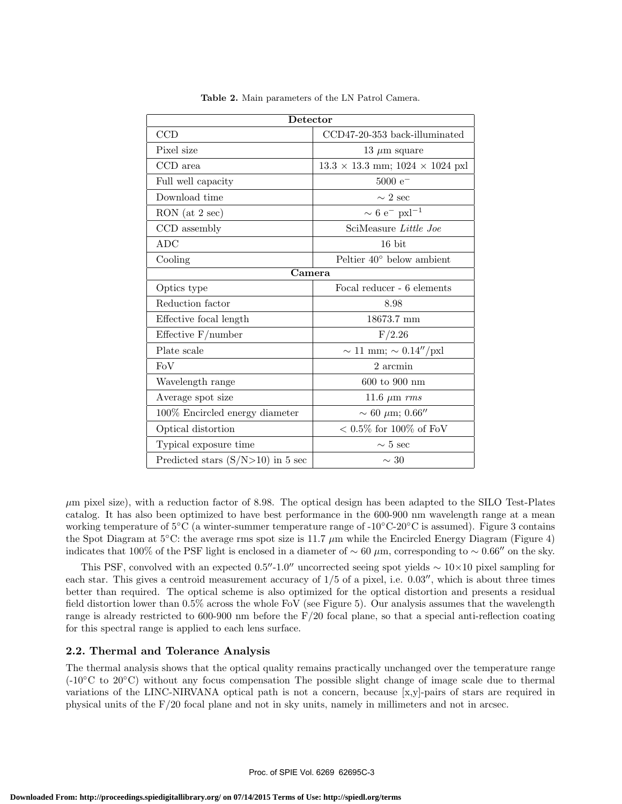| Detector                            |                                               |  |  |  |  |
|-------------------------------------|-----------------------------------------------|--|--|--|--|
| CCD                                 | CCD47-20-353 back-illuminated                 |  |  |  |  |
| Pixel size                          | 13 $\mu$ m square                             |  |  |  |  |
| CCD area                            | $13.3 \times 13.3$ mm; $1024 \times 1024$ pxl |  |  |  |  |
| Full well capacity                  | $5000 e^-$                                    |  |  |  |  |
| Download time                       | $\sim 2$ sec                                  |  |  |  |  |
| RON (at 2 sec)                      | $\sim 6$ e <sup>-</sup> pxl <sup>-1</sup>     |  |  |  |  |
| CCD assembly                        | SciMeasure Little Joe                         |  |  |  |  |
| <b>ADC</b>                          | 16 bit                                        |  |  |  |  |
| Cooling                             | Peltier $40^{\circ}$ below ambient            |  |  |  |  |
| $\overline{\mathrm{C}}$ amera       |                                               |  |  |  |  |
| Optics type                         | Focal reducer - 6 elements                    |  |  |  |  |
| Reduction factor                    | 8.98                                          |  |  |  |  |
| Effective focal length              | 18673.7 mm                                    |  |  |  |  |
| Effective $F/number$                | F/2.26                                        |  |  |  |  |
| Plate scale                         | $\sim 11$ mm; $\sim 0.14''/\text{pxl}$        |  |  |  |  |
| FoV                                 | 2 arcmin                                      |  |  |  |  |
| Wavelength range                    | 600 to 900 nm                                 |  |  |  |  |
| Average spot size                   | 11.6 $\mu$ m $rms$                            |  |  |  |  |
| 100% Encircled energy diameter      | $\sim 60 \mu m; 0.66''$                       |  |  |  |  |
| Optical distortion                  | $< 0.5\%$ for 100% of FoV                     |  |  |  |  |
| Typical exposure time               | $\sim 5$ sec                                  |  |  |  |  |
| Predicted stars $(S/N>10)$ in 5 sec | $\sim 30$                                     |  |  |  |  |

**Table 2.** Main parameters of the LN Patrol Camera.

*µ*m pixel size), with a reduction factor of 8.98. The optical design has been adapted to the SILO Test-Plates catalog. It has also been optimized to have best performance in the 600-900 nm wavelength range at a mean working temperature of 5◦C (a winter-summer temperature range of -10◦C-20◦C is assumed). Figure 3 contains the Spot Diagram at 5◦C: the average rms spot size is 11.7 *µ*m while the Encircled Energy Diagram (Figure 4) indicates that 100% of the PSF light is enclosed in a diameter of  $\sim 60 \ \mu$ m, corresponding to  $\sim 0.66''$  on the sky.

This PSF, convolved with an expected 0.5"-1.0" uncorrected seeing spot yields  $\sim 10 \times 10$  pixel sampling for each star. This gives a centroid measurement accuracy of  $1/5$  of a pixel, i.e.  $0.03''$ , which is about three times better than required. The optical scheme is also optimized for the optical distortion and presents a residual field distortion lower than 0.5% across the whole FoV (see Figure 5). Our analysis assumes that the wavelength range is already restricted to 600-900 nm before the  $F/20$  focal plane, so that a special anti-reflection coating for this spectral range is applied to each lens surface.

## **2.2. Thermal and Tolerance Analysis**

The thermal analysis shows that the optical quality remains practically unchanged over the temperature range (-10◦C to 20◦C) without any focus compensation The possible slight change of image scale due to thermal variations of the LINC-NIRVANA optical path is not a concern, because [x,y]-pairs of stars are required in physical units of the F/20 focal plane and not in sky units, namely in millimeters and not in arcsec.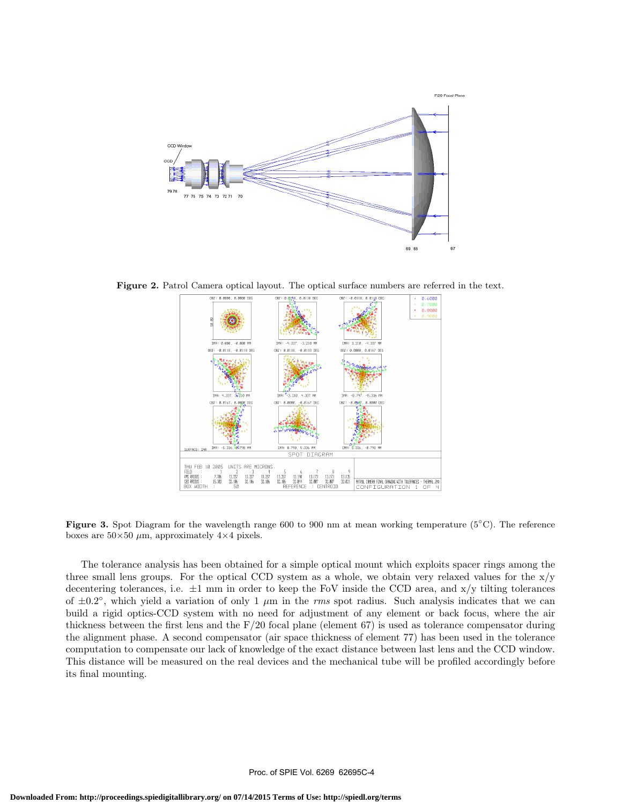

**Figure 2.** Patrol Camera optical layout. The optical surface numbers are referred in the text.



**Figure 3.** Spot Diagram for the wavelength range 600 to 900 nm at mean working temperature (5◦C). The reference boxes are  $50\times50 \ \mu m$ , approximately  $4\times4$  pixels.

The tolerance analysis has been obtained for a simple optical mount which exploits spacer rings among the three small lens groups. For the optical CCD system as a whole, we obtain very relaxed values for the  $x/y$ decentering tolerances, i.e.  $\pm 1$  mm in order to keep the FoV inside the CCD area, and  $x/y$  tilting tolerances of  $\pm 0.2^\circ$ , which yield a variation of only 1  $\mu$ m in the *rms* spot radius. Such analysis indicates that we can build a rigid optics-CCD system with no need for adjustment of any element or back focus, where the air thickness between the first lens and the  $F/20$  focal plane (element 67) is used as tolerance compensator during the alignment phase. A second compensator (air space thickness of element 77) has been used in the tolerance computation to compensate our lack of knowledge of the exact distance between last lens and the CCD window. This distance will be measured on the real devices and the mechanical tube will be profiled accordingly before its final mounting.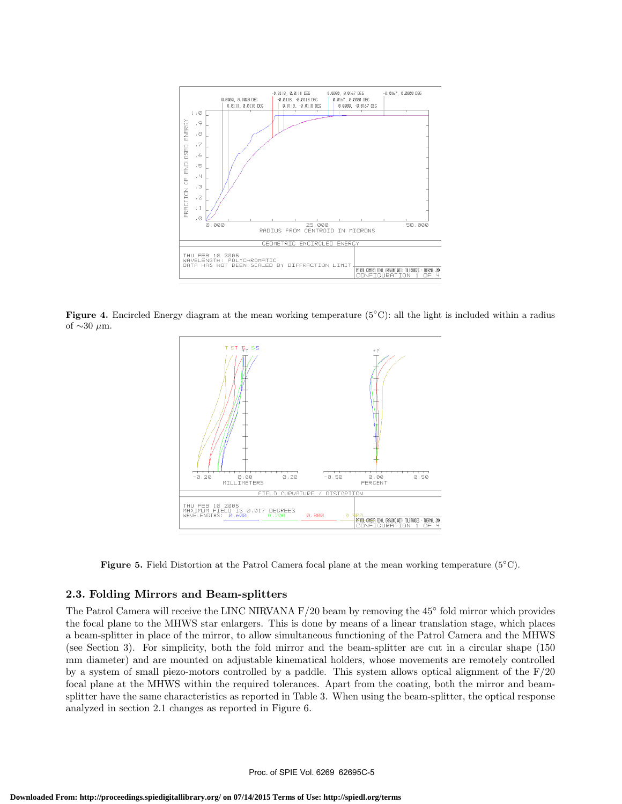

**Figure 4.** Encircled Energy diagram at the mean working temperature (5◦C): all the light is included within a radius of ∼30 *µ*m.



**Figure 5.** Field Distortion at the Patrol Camera focal plane at the mean working temperature (5◦C).

#### **2.3. Folding Mirrors and Beam-splitters**

The Patrol Camera will receive the LINC NIRVANA F/20 beam by removing the 45◦ fold mirror which provides the focal plane to the MHWS star enlargers. This is done by means of a linear translation stage, which places a beam-splitter in place of the mirror, to allow simultaneous functioning of the Patrol Camera and the MHWS (see Section 3). For simplicity, both the fold mirror and the beam-splitter are cut in a circular shape (150 mm diameter) and are mounted on adjustable kinematical holders, whose movements are remotely controlled by a system of small piezo-motors controlled by a paddle. This system allows optical alignment of the  $F/20$ focal plane at the MHWS within the required tolerances. Apart from the coating, both the mirror and beamsplitter have the same characteristics as reported in Table 3. When using the beam-splitter, the optical response analyzed in section 2.1 changes as reported in Figure 6.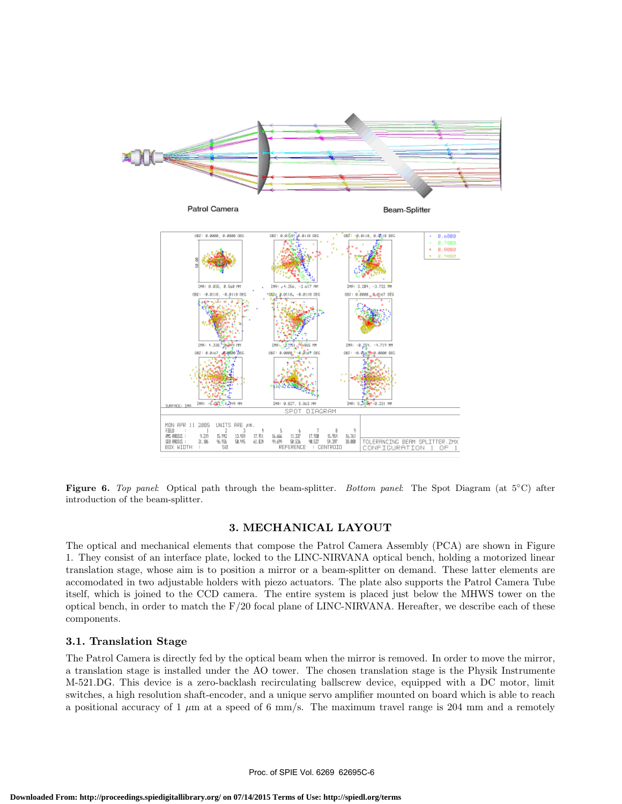

**Figure 6.** *Top panel*: Optical path through the beam-splitter. *Bottom panel*: The Spot Diagram (at 5◦C) after introduction of the beam-splitter.

### **3. MECHANICAL LAYOUT**

The optical and mechanical elements that compose the Patrol Camera Assembly (PCA) are shown in Figure 1. They consist of an interface plate, locked to the LINC-NIRVANA optical bench, holding a motorized linear translation stage, whose aim is to position a mirror or a beam-splitter on demand. These latter elements are accomodated in two adjustable holders with piezo actuators. The plate also supports the Patrol Camera Tube itself, which is joined to the CCD camera. The entire system is placed just below the MHWS tower on the optical bench, in order to match the  $F/20$  focal plane of LINC-NIRVANA. Hereafter, we describe each of these components.

## **3.1. Translation Stage**

The Patrol Camera is directly fed by the optical beam when the mirror is removed. In order to move the mirror, a translation stage is installed under the AO tower. The chosen translation stage is the Physik Instrumente M-521.DG. This device is a zero-backlash recirculating ballscrew device, equipped with a DC motor, limit switches, a high resolution shaft-encoder, and a unique servo amplifier mounted on board which is able to reach a positional accuracy of 1 *µ*m at a speed of 6 mm/s. The maximum travel range is 204 mm and a remotely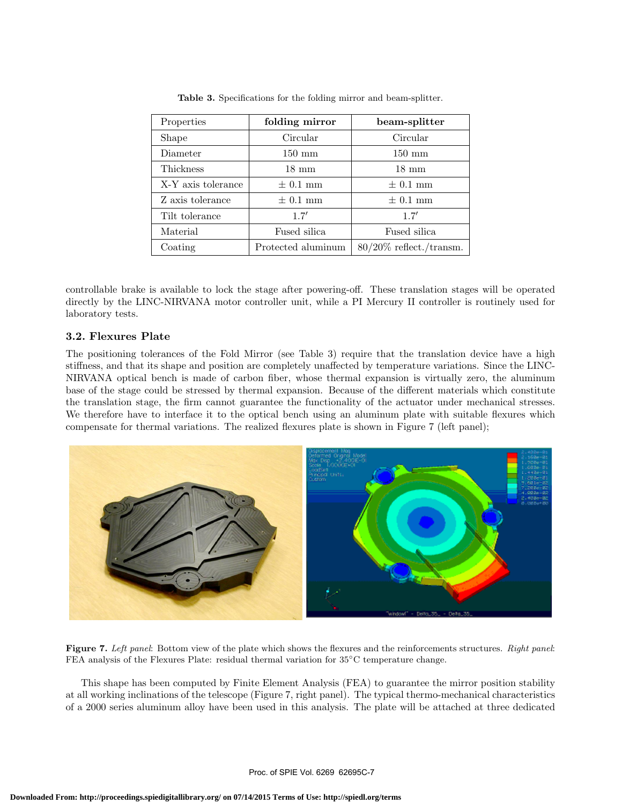| Properties         | folding mirror     | beam-splitter              |  |  |
|--------------------|--------------------|----------------------------|--|--|
| Shape              | Circular           | Circular                   |  |  |
| Diameter           | $150 \text{ mm}$   | $150 \text{ mm}$           |  |  |
| Thickness          | $18 \text{ mm}$    | $18 \text{ mm}$            |  |  |
| X-Y axis tolerance | $\pm$ 0.1 mm       | $\pm$ 0.1 mm               |  |  |
| Z axis tolerance   | $\pm$ 0.1 mm       | $\pm$ 0.1 mm               |  |  |
| Tilt tolerance     | 1.7'               | 1.7'                       |  |  |
| Material           | Fused silica       | Fused silica               |  |  |
| Coating            | Protected aluminum | $80/20\%$ reflect./transm. |  |  |

**Table 3.** Specifications for the folding mirror and beam-splitter.

controllable brake is available to lock the stage after powering-off. These translation stages will be operated directly by the LINC-NIRVANA motor controller unit, while a PI Mercury II controller is routinely used for laboratory tests.

## **3.2. Flexures Plate**

The positioning tolerances of the Fold Mirror (see Table 3) require that the translation device have a high stiffness, and that its shape and position are completely unaffected by temperature variations. Since the LINC-NIRVANA optical bench is made of carbon fiber, whose thermal expansion is virtually zero, the aluminum base of the stage could be stressed by thermal expansion. Because of the different materials which constitute the translation stage, the firm cannot guarantee the functionality of the actuator under mechanical stresses. We therefore have to interface it to the optical bench using an aluminum plate with suitable flexures which compensate for thermal variations. The realized flexures plate is shown in Figure 7 (left panel);



**Figure 7.** *Left panel*: Bottom view of the plate which shows the flexures and the reinforcements structures. *Right panel*: FEA analysis of the Flexures Plate: residual thermal variation for 35◦C temperature change.

This shape has been computed by Finite Element Analysis (FEA) to guarantee the mirror position stability at all working inclinations of the telescope (Figure 7, right panel). The typical thermo-mechanical characteristics of a 2000 series aluminum alloy have been used in this analysis. The plate will be attached at three dedicated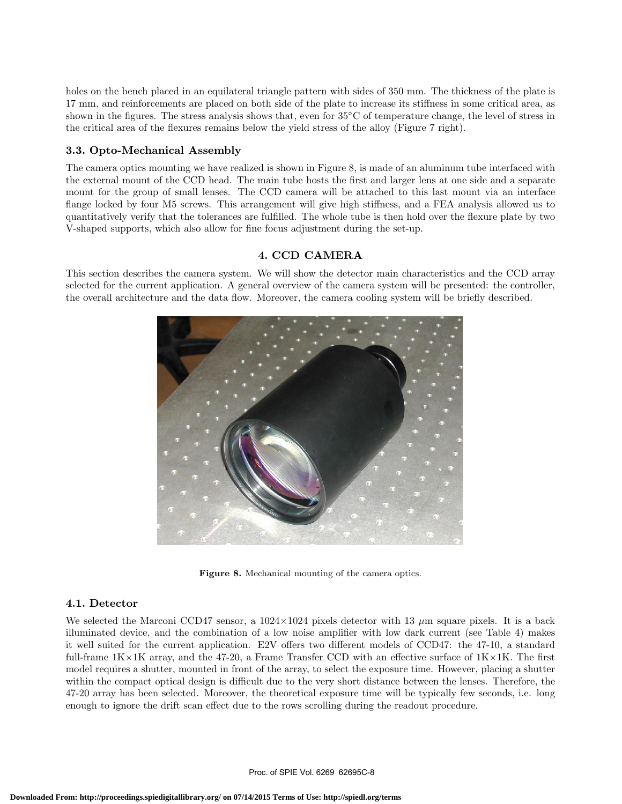holes on the bench placed in an equilateral triangle pattern with sides of 350 mm. The thickness of the plate is 17 mm, and reinforcements are placed on both side of the plate to increase its stiffness in some critical area, as shown in the figures. The stress analysis shows that, even for 35<sup>°</sup>C of temperature change, the level of stress in the critical area of the flexures remains below the yield stress of the alloy (Figure 7 right).

## **3.3. Opto-Mechanical Assembly**

The camera optics mounting we have realized is shown in Figure 8, is made of an aluminum tube interfaced with the external mount of the CCD head. The main tube hosts the first and larger lens at one side and a separate mount for the group of small lenses. The CCD camera will be attached to this last mount via an interface flange locked by four M5 screws. This arrangement will give high stiffness, and a FEA analysis allowed us to quantitatively verify that the tolerances are fulfilled. The whole tube is then hold over the flexure plate by two V-shaped supports, which also allow for fine focus adjustment during the set-up.

## **4. CCD CAMERA**

This section describes the camera system. We will show the detector main characteristics and the CCD array selected for the current application. A general overview of the camera system will be presented: the controller, the overall architecture and the data flow. Moreover, the camera cooling system will be briefly described.



**Figure 8.** Mechanical mounting of the camera optics.

## **4.1. Detector**

We selected the Marconi CCD47 sensor, a  $1024\times1024$  pixels detector with 13  $\mu$ m square pixels. It is a back illuminated device, and the combination of a low noise amplifier with low dark current (see Table 4) makes it well suited for the current application. E2V offers two different models of CCD47: the 47-10, a standard full-frame  $1K\times 1K$  array, and the 47-20, a Frame Transfer CCD with an effective surface of  $1K\times 1K$ . The first model requires a shutter, mounted in front of the array, to select the exposure time. However, placing a shutter within the compact optical design is difficult due to the very short distance between the lenses. Therefore, the 47-20 array has been selected. Moreover, the theoretical exposure time will be typically few seconds, i.e. long enough to ignore the drift scan effect due to the rows scrolling during the readout procedure.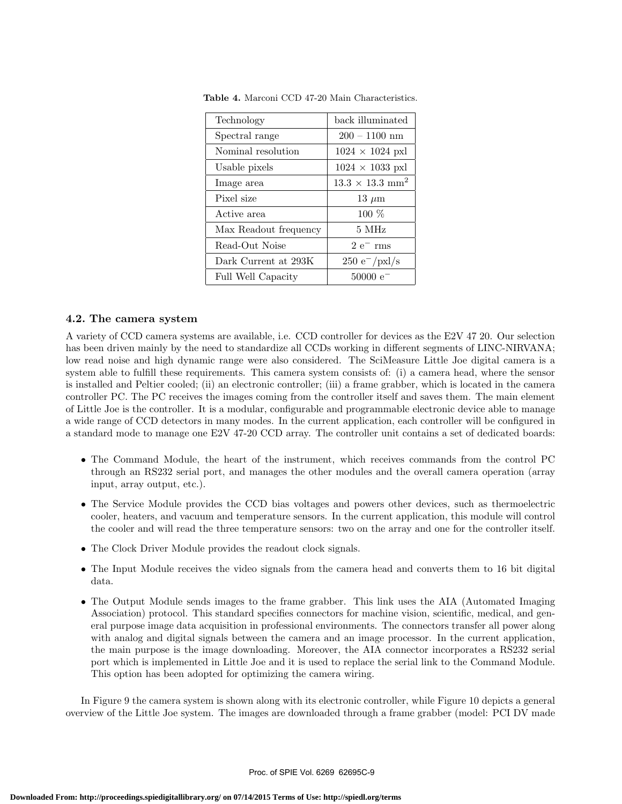| Technology            | back illuminated                   |
|-----------------------|------------------------------------|
| Spectral range        | $200 - 1100$ nm                    |
| Nominal resolution    | $1024 \times 1024$ pxl             |
| Usable pixels         | $1024 \times 1033$ pxl             |
| Image area            | $13.3 \times 13.3$ mm <sup>2</sup> |
| Pixel size            | $13 \mu m$                         |
| Active area           | $100\%$                            |
| Max Readout frequency | 5 MHz                              |
| Read-Out Noise        | $2e^{-}$ rms                       |
| Dark Current at 293K  | $250 e^- / \text{pxl/s}$           |
| Full Well Capacity    | $50000 e^-$                        |

**Table 4.** Marconi CCD 47-20 Main Characteristics.

#### **4.2. The camera system**

A variety of CCD camera systems are available, i.e. CCD controller for devices as the E2V 47 20. Our selection has been driven mainly by the need to standardize all CCDs working in different segments of LINC-NIRVANA; low read noise and high dynamic range were also considered. The SciMeasure Little Joe digital camera is a system able to fulfill these requirements. This camera system consists of: (i) a camera head, where the sensor is installed and Peltier cooled; (ii) an electronic controller; (iii) a frame grabber, which is located in the camera controller PC. The PC receives the images coming from the controller itself and saves them. The main element of Little Joe is the controller. It is a modular, configurable and programmable electronic device able to manage a wide range of CCD detectors in many modes. In the current application, each controller will be configured in a standard mode to manage one E2V 47-20 CCD array. The controller unit contains a set of dedicated boards:

- The Command Module, the heart of the instrument, which receives commands from the control PC through an RS232 serial port, and manages the other modules and the overall camera operation (array input, array output, etc.).
- The Service Module provides the CCD bias voltages and powers other devices, such as thermoelectric cooler, heaters, and vacuum and temperature sensors. In the current application, this module will control the cooler and will read the three temperature sensors: two on the array and one for the controller itself.
- The Clock Driver Module provides the readout clock signals.
- The Input Module receives the video signals from the camera head and converts them to 16 bit digital data.
- The Output Module sends images to the frame grabber. This link uses the AIA (Automated Imaging Association) protocol. This standard specifies connectors for machine vision, scientific, medical, and general purpose image data acquisition in professional environments. The connectors transfer all power along with analog and digital signals between the camera and an image processor. In the current application, the main purpose is the image downloading. Moreover, the AIA connector incorporates a RS232 serial port which is implemented in Little Joe and it is used to replace the serial link to the Command Module. This option has been adopted for optimizing the camera wiring.

In Figure 9 the camera system is shown along with its electronic controller, while Figure 10 depicts a general overview of the Little Joe system. The images are downloaded through a frame grabber (model: PCI DV made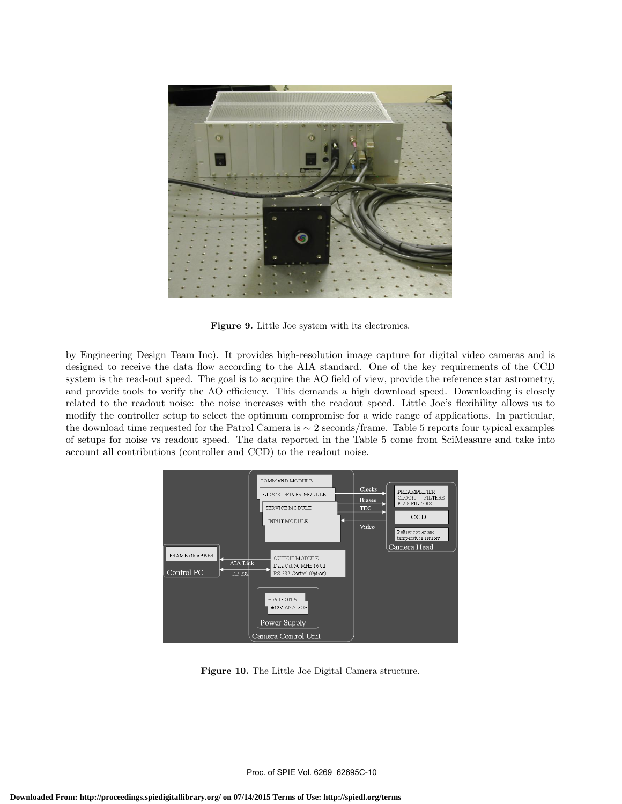

**Figure 9.** Little Joe system with its electronics.

by Engineering Design Team Inc). It provides high-resolution image capture for digital video cameras and is designed to receive the data flow according to the AIA standard. One of the key requirements of the CCD system is the read-out speed. The goal is to acquire the AO field of view, provide the reference star astrometry, and provide tools to verify the AO efficiency. This demands a high download speed. Downloading is closely related to the readout noise: the noise increases with the readout speed. Little Joe's flexibility allows us to modify the controller setup to select the optimum compromise for a wide range of applications. In particular, the download time requested for the Patrol Camera is ∼ 2 seconds/frame. Table 5 reports four typical examples of setups for noise vs readout speed. The data reported in the Table 5 come from SciMeasure and take into account all contributions (controller and CCD) to the readout noise.



**Figure 10.** The Little Joe Digital Camera structure.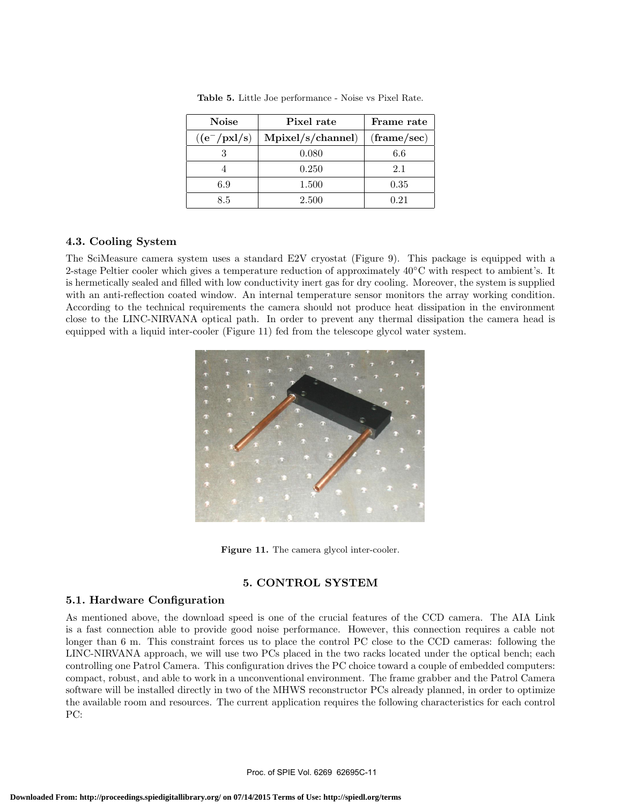| <b>Noise</b>    | Pixel rate        | Frame rate           |  |  |
|-----------------|-------------------|----------------------|--|--|
| $((e^-/pxl/s))$ | Mpixel/s/channel) | $(\text{frame/sec})$ |  |  |
|                 | 0.080             | 6.6                  |  |  |
|                 | 0.250             | 21                   |  |  |
| 6.9             | 1.500             | 0.35                 |  |  |
| 8.5             | 2.500             | 0.21                 |  |  |

**Table 5.** Little Joe performance - Noise vs Pixel Rate.

## **4.3. Cooling System**

The SciMeasure camera system uses a standard E2V cryostat (Figure 9). This package is equipped with a 2-stage Peltier cooler which gives a temperature reduction of approximately 40◦C with respect to ambient's. It is hermetically sealed and filled with low conductivity inert gas for dry cooling. Moreover, the system is supplied with an anti-reflection coated window. An internal temperature sensor monitors the array working condition. According to the technical requirements the camera should not produce heat dissipation in the environment close to the LINC-NIRVANA optical path. In order to prevent any thermal dissipation the camera head is equipped with a liquid inter-cooler (Figure 11) fed from the telescope glycol water system.



Figure 11. The camera glycol inter-cooler.

# **5. CONTROL SYSTEM**

#### **5.1. Hardware Configuration**

As mentioned above, the download speed is one of the crucial features of the CCD camera. The AIA Link is a fast connection able to provide good noise performance. However, this connection requires a cable not longer than 6 m. This constraint forces us to place the control PC close to the CCD cameras: following the LINC-NIRVANA approach, we will use two PCs placed in the two racks located under the optical bench; each controlling one Patrol Camera. This configuration drives the PC choice toward a couple of embedded computers: compact, robust, and able to work in a unconventional environment. The frame grabber and the Patrol Camera software will be installed directly in two of the MHWS reconstructor PCs already planned, in order to optimize the available room and resources. The current application requires the following characteristics for each control PC: